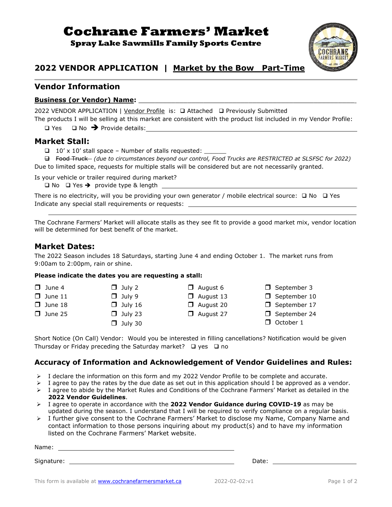# **Cochrane Farmers' Market**

**Spray Lake Sawmills Family Sports Centre**



## **2022 VENDOR APPLICATION | Market by the Bow Part-Time**

### **Vendor Information**

#### **Business (or Vendor) Name:** \_\_\_\_\_\_\_\_\_\_\_\_\_\_\_\_\_\_\_\_\_\_\_\_\_\_\_\_\_\_\_\_\_\_\_\_\_\_\_\_\_\_\_\_\_\_\_\_\_\_\_\_\_

2022 VENDOR APPLICATION | Vendor Profile is: ❑ Attached ❑ Previously Submitted

The products I will be selling at this market are consistent with the product list included in my Vendor Profile: ❑ Yes ❑ No ➔ Provide details:

#### **Market Stall:**

 $\Box$  10' x 10' stall space – Number of stalls requested:

 ❑ Food Truck *(due to circumstances beyond our control, Food Trucks are RESTRICTED at SLSFSC for 2022)* Due to limited space, requests for multiple stalls will be considered but are not necessarily granted.

Is your vehicle or trailer required during market?

❑ No ❑ Yes ➔ provide type & length

There is no electricity, will you be providing your own generator / mobile electrical source: ❑ No ❑ Yes Indicate any special stall requirements or requests:

The Cochrane Farmers' Market will allocate stalls as they see fit to provide a good market mix, vendor location will be determined for best benefit of the market.

### **Market Dates:**

The 2022 Season includes 18 Saturdays, starting June 4 and ending October 1. The market runs from 9:00am to 2:00pm, rain or shine.

#### **Please indicate the dates you are requesting a stall:**

| $\Box$ June 4  | $\Box$ July 2  | $\Box$ August 6  | $\Box$ September 3  |
|----------------|----------------|------------------|---------------------|
| $\Box$ June 11 | $\Box$ July 9  | $\Box$ August 13 | $\Box$ September 10 |
| $\Box$ June 18 | $\Box$ July 16 | $\Box$ August 20 | $\Box$ September 17 |
| $\Box$ June 25 | $\Box$ July 23 | $\Box$ August 27 | $\Box$ September 24 |
|                | $\Box$ July 30 |                  | $\Box$ October 1    |

Short Notice (On Call) Vendor: Would you be interested in filling cancellations? Notification would be given Thursday or Friday preceding the Saturday market? ❑ yes ❑ no

#### **Accuracy of Information and Acknowledgement of Vendor Guidelines and Rules:**

- ➢ I declare the information on this form and my 2022 Vendor Profile to be complete and accurate.
- $\triangleright$  I agree to pay the rates by the due date as set out in this application should I be approved as a vendor.
- ➢ I agree to abide by the Market Rules and Conditions of the Cochrane Farmers' Market as detailed in the **2022 Vendor Guidelines**.
- ➢ I agree to operate in accordance with the **2022 Vendor Guidance during COVID-19** as may be updated during the season. I understand that I will be required to verify compliance on a regular basis.
- ➢ I further give consent to the Cochrane Farmers' Market to disclose my Name, Company Name and contact information to those persons inquiring about my product(s) and to have my information listed on the Cochrane Farmers' Market website.

Name: when the contract of the contract of the contract of the contract of the contract of the contract of the contract of the contract of the contract of the contract of the contract of the contract of the contract of the

Signature: Date: